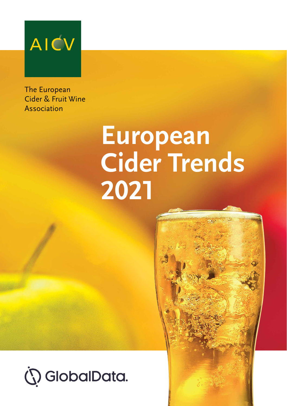

The European Cider & Fruit Wine Association

# **European Cider Trends 2021**

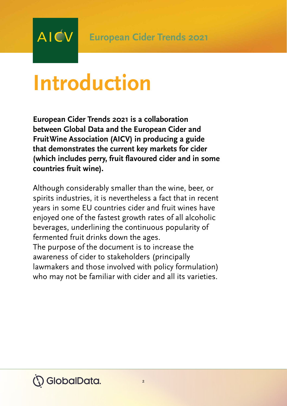### **Introduction**

AIĆV

**European Cider Trends 2021 is a collaboration between Global Data and the European Cider and Fruit Wine Association (AICV) in producing a guide that demonstrates the current key markets for cider (which includes perry, fruit flavoured cider and in some countries fruit wine).**

Although considerably smaller than the wine, beer, or spirits industries, it is nevertheless a fact that in recent years in some EU countries cider and fruit wines have enjoyed one of the fastest growth rates of all alcoholic beverages, underlining the continuous popularity of fermented fruit drinks down the ages.

The purpose of the document is to increase the awareness of cider to stakeholders (principally lawmakers and those involved with policy formulation) who may not be familiar with cider and all its varieties.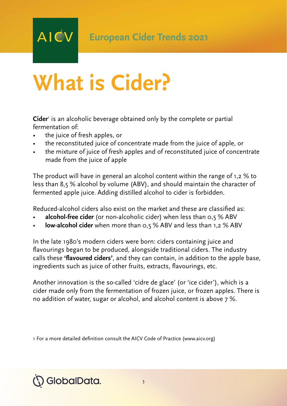## **What is Cider?**

**Cider**<sup>1</sup> is an alcoholic beverage obtained only by the complete or partial fermentation of:

• the juice of fresh apples, or

**AICV** 

- the reconstituted juice of concentrate made from the juice of apple, or
- the mixture of juice of fresh apples and of reconstituted juice of concentrate made from the juice of apple

The product will have in general an alcohol content within the range of 1,2 % to less than 8,5 % alcohol by volume (ABV), and should maintain the character of fermented apple juice. Adding distilled alcohol to cider is forbidden.

Reduced-alcohol ciders also exist on the market and these are classified as:

- **alcohol-free cider** (or non-alcoholic cider) when less than 0,5 % ABV
- **low-alcohol cider** when more than 0,5 % ABV and less than 1,2 % ABV

In the late 1980's modern ciders were born: ciders containing juice and flavourings began to be produced, alongside traditional ciders. The industry calls these **'flavoured ciders'**, and they can contain, in addition to the apple base, ingredients such as juice of other fruits, extracts, flavourings, etc.

Another innovation is the so-called 'cidre de glace' (or 'ice cider'), which is a cider made only from the fermentation of frozen juice, or frozen apples. There is no addition of water, sugar or alcohol, and alcohol content is above 7 %.

1 For a more detailed definition consult the AICV Code of Practice (www.aicv.org)

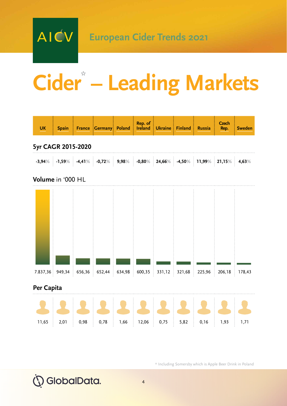AICV

## **Cider\* – Leading Markets**



\* Including Somersby which is Apple Beer Drink in Poland

SlobalData.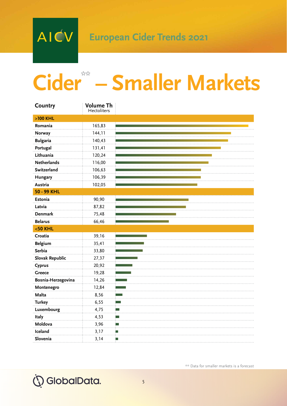# **Cider\*\* – Smaller Markets**

| Country            | Volume Th<br><b>Hectoliters</b> |    |
|--------------------|---------------------------------|----|
| $>100$ KHL         |                                 |    |
| Romania            | 165,83                          |    |
| Norway             | 144,11                          |    |
| <b>Bulgaria</b>    | 140,43                          |    |
| Portugal           | 131,41                          |    |
| Lithuania          | 120,24                          |    |
| <b>Netherlands</b> | 116,00                          |    |
| Switzerland        | 106,63                          |    |
| Hungary            | 106,39                          |    |
| Austria            | 102,05                          |    |
| 50 - 99 KHL        |                                 |    |
| Estonia            | 90,90                           |    |
| Latvia             | 87,82                           |    |
| <b>Denmark</b>     | 75,48                           |    |
| <b>Belarus</b>     | 66,46                           |    |
| $<$ 50 KHL         |                                 |    |
| Croatia            | 39,16                           |    |
| <b>Belgium</b>     | 35,41                           |    |
| Serbia             | 33,80                           |    |
| Slovak Republic    | 27,37                           |    |
| Cyprus             | 20,92                           |    |
| Greece             | 19,28                           |    |
| Bosnia-Herzegovina | 14,26                           |    |
| Montenegro         | 12,84                           |    |
| Malta              | 8,56                            |    |
| <b>Turkey</b>      | 6,55                            |    |
| Luxembourg         | 4,75                            | ▬  |
| Italy              | 4,53                            | −  |
| Moldova            | 3,96                            | m. |
| Iceland            | 3,17                            | ш  |
| Slovenia           | 3,14                            | ш  |

\*\* Data for smaller markets is a forecast



5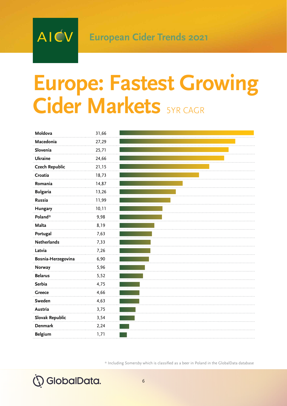### **Europe: Fastest Growing Cider Markets** 5YR CAGR

| Moldova               | 31,66 |  |
|-----------------------|-------|--|
| Macedonia             | 27,29 |  |
| Slovenia              | 25,71 |  |
| Ukraine               | 24,66 |  |
| <b>Czech Republic</b> | 21,15 |  |
| Croatia               | 18,73 |  |
| Romania               | 14,87 |  |
| <b>Bulgaria</b>       | 13,26 |  |
| Russia                | 11,99 |  |
| Hungary               | 10,11 |  |
| Poland*               | 9,98  |  |
| Malta                 | 8,19  |  |
| Portugal              | 7,63  |  |
| <b>Netherlands</b>    | 7,33  |  |
| Latvia                | 7,26  |  |
| Bosnia-Herzegovina    | 6,90  |  |
| Norway                | 5,96  |  |
| <b>Belarus</b>        | 5,52  |  |
| Serbia                | 4,75  |  |
| Greece                | 4,66  |  |
| Sweden                | 4,63  |  |
| Austria               | 3,75  |  |
| Slovak Republic       | 3,54  |  |
| <b>Denmark</b>        | 2,24  |  |
| <b>Belgium</b>        | 1,71  |  |

\* Including Somersby which is classified as a beer in Poland in the GlobalData database

### **is GlobalData.**

AICV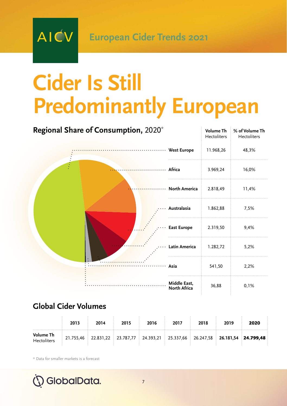### **Cider Is Still Predominantly European**

| Regional Share of Consumption, 2020* | <b>Volume Th</b><br>Hectoliters | % of Volume Th<br>Hectoliters |
|--------------------------------------|---------------------------------|-------------------------------|
| West Europe                          | 11.968,26                       | 48,3%                         |
| Africa                               | 3.969,24                        | 16,0%                         |
| North America                        | 2.818,49                        | 11,4%                         |
| Australasia                          | 1.862,88                        | 7,5%                          |
| <b>East Europe</b>                   | 2.319,50                        | 9,4%                          |
| Latin America                        | 1.282,72                        | 5,2%                          |
| Asia                                 | 541,50                          | 2,2%                          |
| Middle East,<br>North Africa         | 36,88                           | 0,1%                          |

#### **Global Cider Volumes**

AIĆV

|                                                                                                          | 2013 | 2014 | 2015 | 2016 | 2017 | 2018 | 2019 | 2020 |
|----------------------------------------------------------------------------------------------------------|------|------|------|------|------|------|------|------|
| Volume Th<br>Hectoliters 21.755,46 22.831,22 23.787,77 24.393,21 25.337,66 26.247,58 26.181,54 24.799,48 |      |      |      |      |      |      |      |      |

\* Data for smaller markets is a forecast

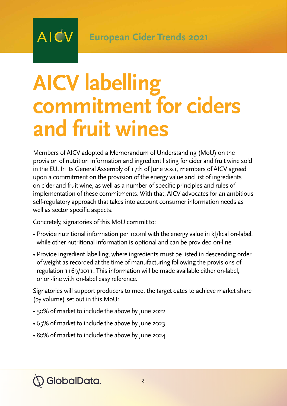### **AICV labelling commitment for ciders and fruit wines**

Members of AICV adopted a Memorandum of Understanding (MoU) on the provision of nutrition information and ingredient listing for cider and fruit wine sold in the EU. In its General Assembly of 17th of June 2021, members of AICV agreed upon a commitment on the provision of the energy value and list of ingredients on cider and fruit wine, as well as a number of specific principles and rules of implementation of these commitments. With that, AICV advocates for an ambitious self-regulatory approach that takes into account consumer information needs as well as sector specific aspects.

Concretely, signatories of this MoU commit to:

**AICV** 

- Provide nutritional information per 100ml with the energy value in kJ/kcal on-label, while other nutritional information is optional and can be provided on-line
- Provide ingredient labelling, where ingredients must be listed in descending order of weight as recorded at the time of manufacturing following the provisions of regulation 1169/2011. This information will be made available either on-label, or on-line with on-label easy reference.

Signatories will support producers to meet the target dates to achieve market share (by volume) set out in this MoU:

- 50% of market to include the above by June 2022
- 65% of market to include the above by June 2023
- 80% of market to include the above by June 2024

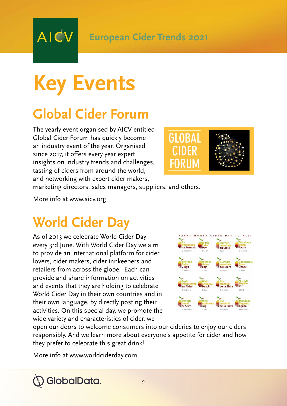### **Key Events**

**AIĆV** 

### **Global Cider Forum**

The yearly event organised by AICV entitled Global Cider Forum has quickly become an industry event of the year. Organised since 2017, it offers every year expert insights on industry trends and challenges, tasting of ciders from around the world, and networking with expert cider makers,



marketing directors, sales managers, suppliers, and others.

More info at www.aicv.org

### **World Cider Day**

As of 2013 we celebrate World Cider Day every 3rd June. With World Cider Day we aim to provide an international platform for cider lovers, cider makers, cider innkeepers and retailers from across the globe. Each can provide and share information on activities and events that they are holding to celebrate World Cider Day in their own countries and in their own language, by directly posting their activities. On this special day, we promote the wide variety and characteristics of cider, we



open our doors to welcome consumers into our cideries to enjoy our ciders responsibly. And we learn more about everyone's appetite for cider and how they prefer to celebrate this great drink!

More info at www.worldciderday.com

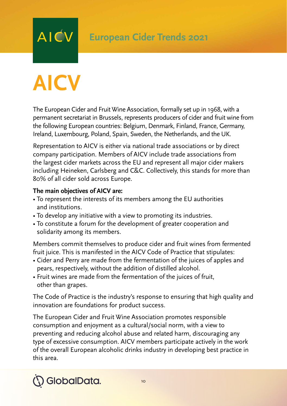## **AICV**

**AICV** 

The European Cider and Fruit Wine Association, formally set up in 1968, with a permanent secretariat in Brussels, represents producers of cider and fruit wine from the following European countries: Belgium, Denmark, Finland, France, Germany, Ireland, Luxembourg, Poland, Spain, Sweden, the Netherlands, and the UK.

Representation to AICV is either via national trade associations or by direct company participation. Members of AICV include trade associations from the largest cider markets across the EU and represent all major cider makers including Heineken, Carlsberg and C&C. Collectively, this stands for more than 80% of all cider sold across Europe.

#### **The main objectives of AICV are:**

- To represent the interests of its members among the EU authorities and institutions.
- To develop any initiative with a view to promoting its industries.
- To constitute a forum for the development of greater cooperation and solidarity among its members.

Members commit themselves to produce cider and fruit wines from fermented fruit juice. This is manifested in the AICV Code of Practice that stipulates:

- Cider and Perry are made from the fermentation of the juices of apples and pears, respectively, without the addition of distilled alcohol.
- Fruit wines are made from the fermentation of the juices of fruit, other than grapes.

The Code of Practice is the industry's response to ensuring that high quality and innovation are foundations for product success.

The European Cider and Fruit Wine Association promotes responsible consumption and enjoyment as a cultural/social norm, with a view to preventing and reducing alcohol abuse and related harm, discouraging any type of excessive consumption. AICV members participate actively in the work of the overall European alcoholic drinks industry in developing best practice in this area.

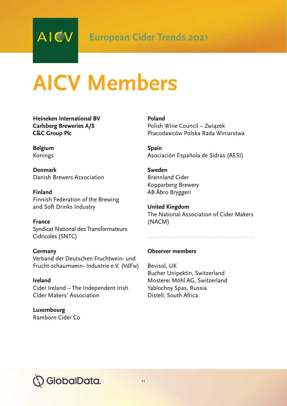### **AICV Members**

**Heineken International BV Carlsberg Breweries A/S C&C Group Plc**

**Belgium** Konings

**Denmark** Danish Brewers Association

**Finland** Finnish Federation of the Brewing and Soft Drinks Industry

**France** Syndicat National des Transformateurs Cidricoles (SNTC)

**Germany** Verband der Deutschen Fruchtwein- und Frucht-schaumwein- Industrie e.V. (VdFw)

**Ireland** Cider Ireland – The Independent Irish Cider Makers' Association

**Luxembourg**  Ramborn Cider Co **Poland** Polish Wine Council – Związek Pracodawców Polska Rada Winiarstwa

**Spain** Asociación Española de Sidras (AESI)

**Sweden** Brannland Cider Kopparberg Brewery AB Åbro Bryggeri

**United Kingdom** The National Association of Cider Makers (NACM)

#### **Observer members**

Bevisol, UK Bucher Unipektin, Switzerland Mosterei Möhl AG, Switzerland Yablochny Spas, Russia Distell, South Africa.